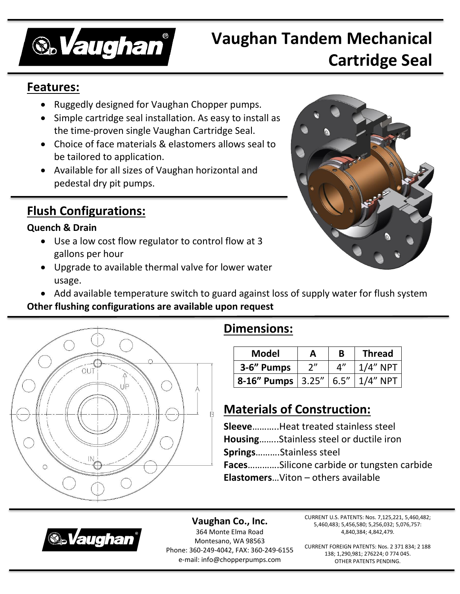

# **Vaughan Tandem Mechanical Cartridge Seal**

### **Features:**

- Ruggedly designed for Vaughan Chopper pumps.
- Simple cartridge seal installation. As easy to install as the time-proven single Vaughan Cartridge Seal.
- Choice of face materials & elastomers allows seal to be tailored to application.
- Available for all sizes of Vaughan horizontal and pedestal dry pit pumps.

## **Flush Configurations:**

#### **Quench & Drain**

- Use a low cost flow regulator to control flow at 3 gallons per hour
- Upgrade to available thermal valve for lower water usage.



Add available temperature switch to guard against loss of supply water for flush system

#### **Other flushing configurations are available upon request**



### **Dimensions:**

| <b>Model</b>        | А   | B           | <b>Thread</b> |
|---------------------|-----|-------------|---------------|
| 3-6" Pumps          | 2'' | $\Lambda''$ | $1/4"$ NPT    |
| 8-16" Pumps   3.25" |     | 6.5''       | $1/4"$ NPT    |

## **Materials of Construction:**

**Sleeve**………..Heat treated stainless steel **Housing**……..Stainless steel or ductile iron **Springs**……….Stainless steel **Faces**………….Silicone carbide or tungsten carbide **Elastomers**…Viton – others available



**Vaughan Co., Inc.** 364 Monte Elma Road Montesano, WA 98563 Phone: 360-249-4042, FAX: 360-249-6155 e-mail: info@chopperpumps.com

CURRENT U.S. PATENTS: Nos. 7,125,221, 5,460,482; 5,460,483; 5,456,580; 5,256,032; 5,076,757: 4,840,384; 4,842,479.

CURRENT FOREIGN PATENTS: Nos. 2 371 834; 2 188 138; 1,290,981; 276224; 0 774 045. OTHER PATENTS PENDING.